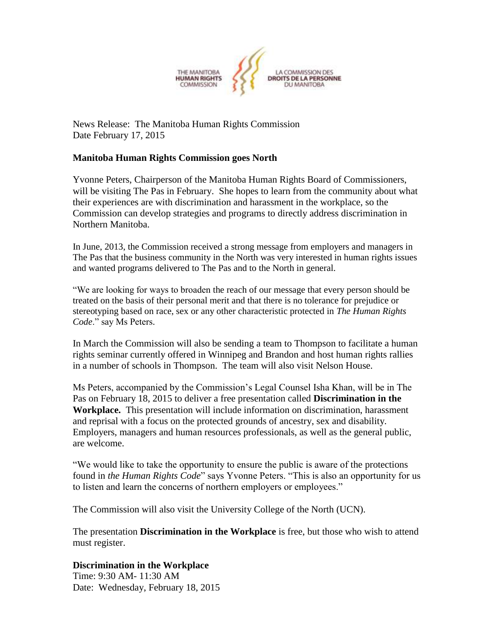

News Release: The Manitoba Human Rights Commission Date February 17, 2015

## **Manitoba Human Rights Commission goes North**

Yvonne Peters, Chairperson of the Manitoba Human Rights Board of Commissioners, will be visiting The Pas in February. She hopes to learn from the community about what their experiences are with discrimination and harassment in the workplace, so the Commission can develop strategies and programs to directly address discrimination in Northern Manitoba.

In June, 2013, the Commission received a strong message from employers and managers in The Pas that the business community in the North was very interested in human rights issues and wanted programs delivered to The Pas and to the North in general.

"We are looking for ways to broaden the reach of our message that every person should be treated on the basis of their personal merit and that there is no tolerance for prejudice or stereotyping based on race, sex or any other characteristic protected in *The Human Rights Code*." say Ms Peters.

In March the Commission will also be sending a team to Thompson to facilitate a human rights seminar currently offered in Winnipeg and Brandon and host human rights rallies in a number of schools in Thompson. The team will also visit Nelson House.

Ms Peters, accompanied by the Commission's Legal Counsel Isha Khan, will be in The Pas on February 18, 2015 to deliver a free presentation called **Discrimination in the Workplace.** This presentation will include information on discrimination, harassment and reprisal with a focus on the protected grounds of ancestry, sex and disability. Employers, managers and human resources professionals, as well as the general public, are welcome.

"We would like to take the opportunity to ensure the public is aware of the protections found in *the Human Rights Code*" says Yvonne Peters. "This is also an opportunity for us to listen and learn the concerns of northern employers or employees."

The Commission will also visit the University College of the North (UCN).

The presentation **Discrimination in the Workplace** is free, but those who wish to attend must register.

## **Discrimination in the Workplace**

Time: 9:30 AM- 11:30 AM Date: Wednesday, February 18, 2015